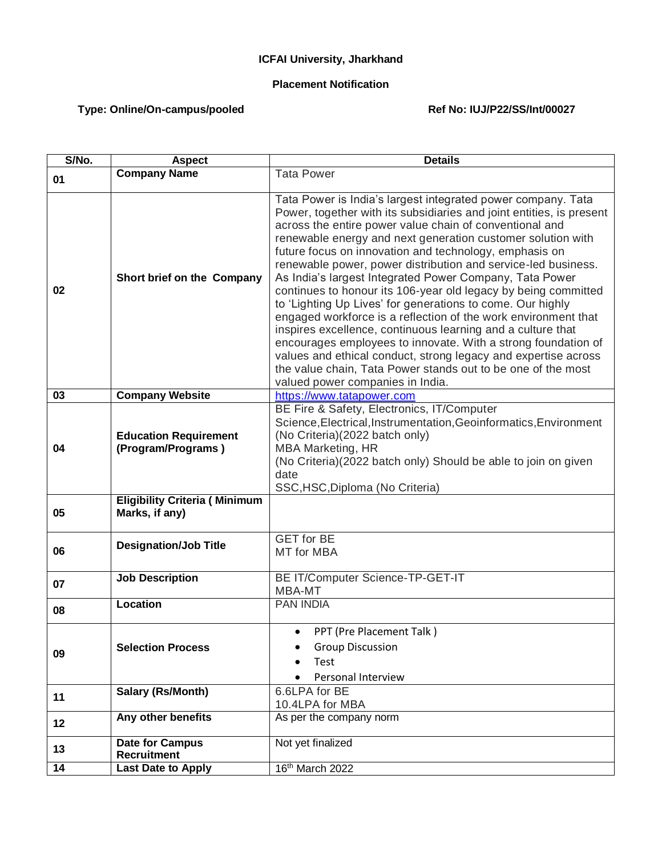## **ICFAI University, Jharkhand**

## **Placement Notification**

## Type: Online/On-campus/pooled **Ref No: IUJ/P22/SS/Int/00027**

| S/No. | <b>Aspect</b>                                          | <b>Details</b>                                                                                                                                                                                                                                                                                                                                                                                                                                                                                                                                                                                                                                                                                                                                                                                                                                                                                                                                               |
|-------|--------------------------------------------------------|--------------------------------------------------------------------------------------------------------------------------------------------------------------------------------------------------------------------------------------------------------------------------------------------------------------------------------------------------------------------------------------------------------------------------------------------------------------------------------------------------------------------------------------------------------------------------------------------------------------------------------------------------------------------------------------------------------------------------------------------------------------------------------------------------------------------------------------------------------------------------------------------------------------------------------------------------------------|
| 01    | <b>Company Name</b>                                    | <b>Tata Power</b>                                                                                                                                                                                                                                                                                                                                                                                                                                                                                                                                                                                                                                                                                                                                                                                                                                                                                                                                            |
| 02    | Short brief on the Company                             | Tata Power is India's largest integrated power company. Tata<br>Power, together with its subsidiaries and joint entities, is present<br>across the entire power value chain of conventional and<br>renewable energy and next generation customer solution with<br>future focus on innovation and technology, emphasis on<br>renewable power, power distribution and service-led business.<br>As India's largest Integrated Power Company, Tata Power<br>continues to honour its 106-year old legacy by being committed<br>to 'Lighting Up Lives' for generations to come. Our highly<br>engaged workforce is a reflection of the work environment that<br>inspires excellence, continuous learning and a culture that<br>encourages employees to innovate. With a strong foundation of<br>values and ethical conduct, strong legacy and expertise across<br>the value chain, Tata Power stands out to be one of the most<br>valued power companies in India. |
| 03    | <b>Company Website</b>                                 | https://www.tatapower.com                                                                                                                                                                                                                                                                                                                                                                                                                                                                                                                                                                                                                                                                                                                                                                                                                                                                                                                                    |
| 04    | <b>Education Requirement</b><br>(Program/Programs)     | BE Fire & Safety, Electronics, IT/Computer<br>Science, Electrical, Instrumentation, Geoinformatics, Environment<br>(No Criteria)(2022 batch only)<br><b>MBA Marketing, HR</b><br>(No Criteria)(2022 batch only) Should be able to join on given<br>date<br>SSC, HSC, Diploma (No Criteria)                                                                                                                                                                                                                                                                                                                                                                                                                                                                                                                                                                                                                                                                   |
| 05    | <b>Eligibility Criteria (Minimum</b><br>Marks, if any) |                                                                                                                                                                                                                                                                                                                                                                                                                                                                                                                                                                                                                                                                                                                                                                                                                                                                                                                                                              |
| 06    | <b>Designation/Job Title</b>                           | <b>GET</b> for BE<br>MT for MBA                                                                                                                                                                                                                                                                                                                                                                                                                                                                                                                                                                                                                                                                                                                                                                                                                                                                                                                              |
| 07    | <b>Job Description</b>                                 | BE IT/Computer Science-TP-GET-IT<br>MBA-MT                                                                                                                                                                                                                                                                                                                                                                                                                                                                                                                                                                                                                                                                                                                                                                                                                                                                                                                   |
| 08    | <b>Location</b>                                        | <b>PAN INDIA</b>                                                                                                                                                                                                                                                                                                                                                                                                                                                                                                                                                                                                                                                                                                                                                                                                                                                                                                                                             |
| 09    | <b>Selection Process</b>                               | PPT (Pre Placement Talk)<br>$\bullet$<br><b>Group Discussion</b><br>Test<br>Personal Interview                                                                                                                                                                                                                                                                                                                                                                                                                                                                                                                                                                                                                                                                                                                                                                                                                                                               |
| 11    | Salary (Rs/Month)                                      | 6.6LPA for BE<br>10.4LPA for MBA                                                                                                                                                                                                                                                                                                                                                                                                                                                                                                                                                                                                                                                                                                                                                                                                                                                                                                                             |
| 12    | Any other benefits                                     | As per the company norm                                                                                                                                                                                                                                                                                                                                                                                                                                                                                                                                                                                                                                                                                                                                                                                                                                                                                                                                      |
| 13    | <b>Date for Campus</b><br><b>Recruitment</b>           | Not yet finalized                                                                                                                                                                                                                                                                                                                                                                                                                                                                                                                                                                                                                                                                                                                                                                                                                                                                                                                                            |
| 14    | <b>Last Date to Apply</b>                              | 16th March 2022                                                                                                                                                                                                                                                                                                                                                                                                                                                                                                                                                                                                                                                                                                                                                                                                                                                                                                                                              |